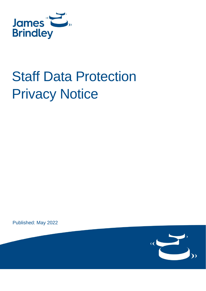

# Staff Data Protection Privacy Notice

Published: May 2022

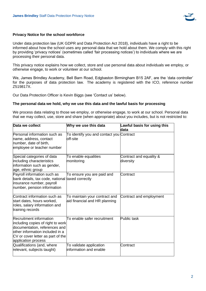

## **Privacy Notice for the school workforce**

Under data protection law (UK GDPR and Data Protection Act 2018), individuals have a right to be informed about how the school uses any personal data that we hold about them. We comply with this right by providing 'privacy notices' (sometimes called 'fair processing notices') to individuals where we are processing their personal data.

This privacy notice explains how we collect, store and use personal data about individuals we employ, or otherwise engage, to work or volunteer at our school.

We, James Brindley Academy, Bell Barn Road, Edgbaston Birmingham B15 2AF, are the 'data controller' for the purposes of data protection law. The academy is registered with the ICO, reference number Z519817X.

Our Data Protection Officer is Kevin Biggs (see 'Contact us' below).

#### **The personal data we hold, why we use this data and the lawful basis for processing**

We process data relating to those we employ, or otherwise engage, to work at our school. Personal data that we may collect, use, store and share (when appropriate) about you includes, but is not restricted to:

| Data we collect                                                                                                                                                                                      | Why we use this data                                           | Lawful basis for using this<br>data  |
|------------------------------------------------------------------------------------------------------------------------------------------------------------------------------------------------------|----------------------------------------------------------------|--------------------------------------|
| Personal information such as<br>name, address, contact<br>number, date of birth,<br>employee or teacher number                                                                                       | To identify you and contact you Contract<br>loff-site          |                                      |
| Special categories of data<br>including characteristics<br>information such as gender,<br>age, ethnic group                                                                                          | To enable equalities<br>monitoring                             | Contract and equality &<br>diversity |
| Payroll information such as<br>bank details, tax code, national<br>insurance number, payroll<br>number, pension information                                                                          | To ensure you are paid and<br>taxed correctly                  | Contract                             |
| Contract information such as<br>start dates, hours worked,<br>roles, salary information and<br>training records                                                                                      | To maintain your contract and<br>aid financial and HR planning | Contract and employment              |
| <b>Recruitment information</b><br>including copies of right to work<br>documentation, references and<br>lother information included in a<br>CV or cover letter as part of the<br>application process | To enable safer recruitment                                    | Public task                          |
| Qualifications (and, where<br>relevant, subjects taught)                                                                                                                                             | To validate application<br>information and enable              | Contract                             |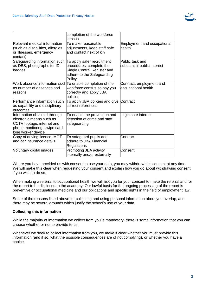

|                                                                                                                                               | completion of the workforce<br>census                                                                                         |                                                 |
|-----------------------------------------------------------------------------------------------------------------------------------------------|-------------------------------------------------------------------------------------------------------------------------------|-------------------------------------------------|
| Relevant medical information<br>(such as disabilities, allergies<br>or illnesses, emergency<br>contact)                                       | To make reasonable<br>adjustments, keep staff safe<br>land contact next of kin                                                | <b>Employment and occupational</b><br>health    |
| Safeguarding information such<br>as DBS, photographs for ID<br>badges                                                                         | To apply safer recruitment<br>procedures, complete the<br>Single Central Register and<br>adhere to the Safeguarding<br>Policy | Public task and<br>substantial public interest  |
| Work absence information such To enable completion of the<br>as number of absences and<br>reasons                                             | workforce census, to pay you<br>correctly and apply JBA<br>policies                                                           | Contract, employment and<br>occupational health |
| Performance information such<br>as capability and disciplinary<br>loutcomes                                                                   | To apply JBA policies and give<br>correct references                                                                          | Contract                                        |
| Information obtained through<br>electronic means such as<br>CCTV footage, internet and<br>phone monitoring, swipe card,<br>lone worker device | To enable the prevention and<br>detection of crime and staff<br>safeguarding                                                  | egitimate interest.                             |
| Copy of driving licence, MOT<br>and car insurance details                                                                                     | To safeguard pupils and<br>adhere to JBA Financial<br><b>Regulations</b>                                                      | Contract                                        |
| Voluntary digital images                                                                                                                      | Promoting JBA activity<br>internally and/or externally                                                                        | Consent                                         |

Where you have provided us with consent to use your data, you may withdraw this consent at any time. We will make this clear when requesting your consent and explain how you go about withdrawing consent if you wish to do so.

When making a referral to occupational health we will ask you for your consent to make the referral and for the report to be disclosed to the academy. Our lawful basis for the ongoing processing of the report is preventive or occupational medicine and our obligations and specific rights in the field of employment law.

Some of the reasons listed above for collecting and using personal information about you overlap, and there may be several grounds which justify the school's use of your data.

# **Collecting this information**

While the majority of information we collect from you is mandatory, there is some information that you can choose whether or not to provide to us.

Whenever we seek to collect information from you, we make it clear whether you must provide this information (and if so, what the possible consequences are of not complying), or whether you have a choice.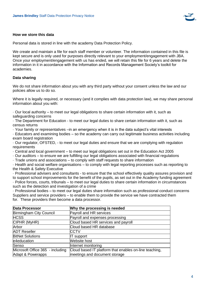

#### **How we store this data**

Personal data is stored in line with the academy Data Protection Policy.

We create and maintain a file for each staff member or volunteer. The information contained in this file is kept secure and is only used for purposes directly relevant to your employment/engagement with JBA. Once your employment/engagement with us has ended, we will retain this file for 6 years and delete the information in it in accordance with the Information and Records Management Society's toolkit for academies.

## **Data sharing**

We do not share information about you with any third party without your consent unless the law and our policies allow us to do so.

Where it is legally required, or necessary (and it complies with data protection law), we may share personal information about you with:

· Our local authority – to meet our legal obligations to share certain information with it, such as safeguarding concerns

· The Department for Education - to meet our legal duties to share certain information with it, such as census returns

· Your family or representatives –in an emergency when it is in the data subject's vital interests

· Educators and examining bodies – so the academy can carry out legitimate business activities including exam board registration

· Our regulator, OFSTED, - to meet our legal duties and ensure that we are complying with regulation requirements

- · Central and local government to meet our legal obligations set out in the Education Act 2005
- · Our auditors to ensure we are fulfilling our legal obligations associated with financial regulations

· Trade unions and associations – to comply with staff requests to share information

· Health and social welfare organisations – to comply with legal reporting processes such as reporting to the Health & Safety Executive

· Professional advisers and consultants - to ensure that the school effectively quality assures provision and to support school improvements for the benefit of the pupils, as set out in the Academy funding agreement · Police forces, courts, tribunals – to meet our legal duties to share certain information in circumstances such as the detection and investigation of a crime

· Professional bodies – to meet our legal duties share information such as professional conduct concerns Suppliers and service providers – to enable them to provide the service we have contracted them for. These providers then become a data processor.

| <b>Data Processor</b>            | Why the processing is needed                           |
|----------------------------------|--------------------------------------------------------|
| Birmingham City Council          | Payroll and HR services                                |
| <b>HCSS</b>                      | Payroll and expenses processing                        |
| CIPHR (MyHR)                     | Cloud based HR services and payroll                    |
| Arbor                            | Cloud based HR database                                |
| <b>ADT Reseller</b>              | <b>CCTV</b>                                            |
| <b>BitNet Solutions</b>          | IT support                                             |
| e4education                      | <b>Website host</b>                                    |
| Senso                            | Internet monitoring                                    |
| Microsoft Office 365 - including | Cloud based IT platform that enables on-line teaching, |
| Adapt & Powerapps                | meetings and document storage                          |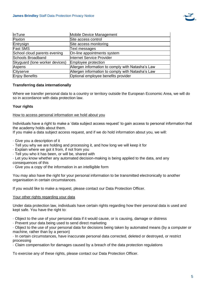

| <b>InTune</b>                  | Mobile Device Management                          |
|--------------------------------|---------------------------------------------------|
| Paxton                         | Site access control                               |
| Entrysign                      | Site access monitoring                            |
| <b>Fast SMS</b>                | Text messages                                     |
| School cloud parents evening   | On-line appointments system                       |
| Schools Broadband              | Internet Service Provider                         |
| Skyguard (lone worker devices) | Employee protection                               |
| Aspens                         | Allergen information to comply with Natasha's Law |
| Cityserve                      | Allergen information to comply with Natasha's Law |
| Enjoy Benefits                 | Optional employee benefits provider               |

# **Transferring data internationally**

Where we transfer personal data to a country or territory outside the European Economic Area, we will do so in accordance with data protection law.

# **Your rights**

#### How to access personal information we hold about you

Individuals have a right to make a 'data subject access request' to gain access to personal information that the academy holds about them.

If you make a data subject access request, and if we do hold information about you, we will:

- · Give you a description of it
- · Tell you why we are holding and processing it, and how long we will keep it for
- · Explain where we got it from, if not from you
- · Tell you who it has been, or will be, shared with
- · Let you know whether any automated decision-making is being applied to the data, and any

consequences of this

· Give you a copy of the information in an intelligible form

You may also have the right for your personal information to be transmitted electronically to another organisation in certain circumstances.

If you would like to make a request, please contact our Data Protection Officer.

## Your other rights regarding your data

Under data protection law, individuals have certain rights regarding how their personal data is used and kept safe. You have the right to:

· Object to the use of your personal data if it would cause, or is causing, damage or distress

· Prevent your data being used to send direct marketing

· Object to the use of your personal data for decisions being taken by automated means (by a computer or machine, rather than by a person)

· In certain circumstances, have inaccurate personal data corrected, deleted or destroyed, or restrict processing

· Claim compensation for damages caused by a breach of the data protection regulations

To exercise any of these rights, please contact our Data Protection Officer.